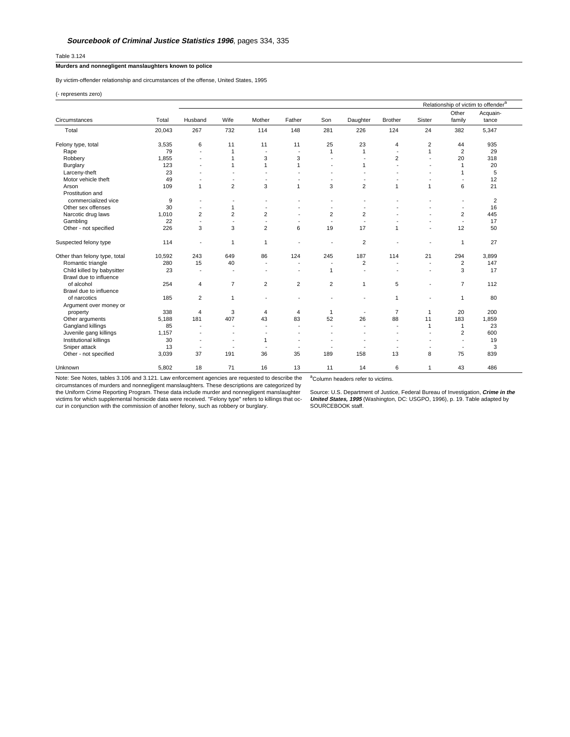## Table 3.124

## **Murders and nonnegligent manslaughters known to police**

By victim-offender relationship and circumstances of the offense, United States, 1995

(- represents zero)

|                                                      | Total  | Relationship of victim to offender <sup>a</sup> |                          |                          |                          |                          |                          |                          |                          |                          |                         |
|------------------------------------------------------|--------|-------------------------------------------------|--------------------------|--------------------------|--------------------------|--------------------------|--------------------------|--------------------------|--------------------------|--------------------------|-------------------------|
| Circumstances                                        |        | Husband                                         | Wife                     | Mother                   | Father                   | Son                      | Daughter                 | <b>Brother</b>           | Sister                   | Other<br>family          | Acquain-<br>tance       |
| Total                                                | 20,043 | 267                                             | 732                      | 114                      | 148                      | 281                      | 226                      | 124                      | 24                       | 382                      | 5,347                   |
| Felony type, total                                   | 3,535  | 6                                               | 11                       | 11                       | 11                       | 25                       | 23                       | 4                        | 2                        | 44                       | 935                     |
| Rape                                                 | 79     | $\overline{\phantom{a}}$                        | $\mathbf{1}$             |                          | $\overline{\phantom{a}}$ | $\mathbf{1}$             | $\mathbf{1}$             | ÷                        | $\mathbf{1}$             | $\overline{2}$           | 29                      |
| Robbery                                              | 1,855  | ÷                                               | $\mathbf{1}$             | 3                        | 3                        | $\overline{\phantom{a}}$ | ÷,                       | $\overline{2}$           | $\overline{\phantom{a}}$ | 20                       | 318                     |
| Burglary                                             | 123    | $\overline{\phantom{a}}$                        | $\mathbf{1}$             | 1                        | $\mathbf{1}$             | ÷                        | $\mathbf{1}$             | ٠                        | ٠                        | $\mathbf{1}$             | 20                      |
| Larceny-theft                                        | 23     | $\overline{\phantom{a}}$                        | $\overline{\phantom{a}}$ | $\overline{\phantom{a}}$ |                          | $\overline{\phantom{a}}$ | ä,                       | ä,                       | $\overline{a}$           | 1                        | 5                       |
| Motor vehicle theft                                  | 49     | $\overline{\phantom{a}}$                        | $\overline{\phantom{a}}$ | $\overline{\phantom{a}}$ | ٠                        | $\blacksquare$           | ä,                       | ä,                       | $\overline{\phantom{a}}$ | ÷                        | 12                      |
| Arson<br>Prostitution and                            | 109    | $\mathbf{1}$                                    | $\overline{2}$           | 3                        | $\mathbf{1}$             | 3                        | $\overline{2}$           | 1                        | $\mathbf{1}$             | 6                        | 21                      |
| commercialized vice                                  | 9      | $\overline{\phantom{a}}$                        | $\blacksquare$           | $\overline{\phantom{a}}$ | $\overline{a}$           | $\overline{\phantom{a}}$ | ۰                        |                          |                          | $\overline{\phantom{a}}$ | $\overline{\mathbf{c}}$ |
| Other sex offenses                                   | 30     | $\overline{\phantom{a}}$                        | $\mathbf{1}$             | $\overline{\phantom{a}}$ | $\overline{\phantom{a}}$ | $\blacksquare$           | $\blacksquare$           |                          |                          | $\overline{\phantom{a}}$ | 16                      |
| Narcotic drug laws                                   | 1,010  | $\overline{2}$                                  | $\overline{2}$           | $\overline{2}$           |                          | $\overline{2}$           | $\overline{2}$           |                          |                          | 2                        | 445                     |
| Gambling                                             | 22     | ٠                                               | $\blacksquare$           | $\overline{\phantom{a}}$ |                          | $\overline{\phantom{a}}$ |                          |                          |                          | $\overline{\phantom{a}}$ | 17                      |
| Other - not specified                                | 226    | 3                                               | 3                        | $\overline{2}$           | 6                        | 19                       | 17                       | $\mathbf{1}$             |                          | 12                       | 50                      |
| Suspected felony type                                | 114    | ٠                                               | $\mathbf{1}$             | 1                        |                          | ٠                        | $\overline{c}$           |                          |                          | 1                        | 27                      |
| Other than felony type, total                        | 10,592 | 243                                             | 649                      | 86                       | 124                      | 245                      | 187                      | 114                      | 21                       | 294                      | 3,899                   |
| Romantic triangle                                    | 280    | 15                                              | 40                       | $\overline{\phantom{a}}$ | ÷                        | $\overline{\phantom{a}}$ | $\overline{2}$           | $\overline{\phantom{a}}$ | $\overline{\phantom{a}}$ | 2                        | 147                     |
| Child killed by babysitter<br>Brawl due to influence | 23     | $\overline{\phantom{a}}$                        | $\blacksquare$           | $\overline{a}$           | $\overline{a}$           | $\mathbf{1}$             |                          | L.                       | $\overline{a}$           | 3                        | 17                      |
| of alcohol<br>Brawl due to influence                 | 254    | $\overline{4}$                                  | $\overline{7}$           | $\overline{2}$           | $\overline{c}$           | $\overline{2}$           | 1                        | 5                        | $\overline{\phantom{a}}$ | $\overline{7}$           | 112                     |
| of narcotics<br>Argument over money or               | 185    | $\overline{2}$                                  | $\mathbf{1}$             |                          | $\overline{\phantom{a}}$ | ÷                        | $\overline{\phantom{a}}$ | 1                        | ÷                        | 1                        | 80                      |
| property                                             | 338    | $\overline{4}$                                  | 3                        | $\overline{4}$           | 4                        | $\mathbf{1}$             | $\overline{\phantom{a}}$ | $\overline{7}$           | $\mathbf{1}$             | 20                       | 200                     |
| Other arguments                                      | 5,188  | 181                                             | 407                      | 43                       | 83                       | 52                       | 26                       | 88                       | 11                       | 183                      | 1,859                   |
| Gangland killings                                    | 85     | $\blacksquare$                                  | ٠                        | ٠                        | ٠                        | $\overline{\phantom{a}}$ |                          | ä,                       | $\mathbf{1}$             | $\mathbf{1}$             | 23                      |
| Juvenile gang killings                               | 1,157  | $\overline{\phantom{a}}$                        |                          |                          | ٠                        |                          |                          | ä,                       | $\overline{a}$           | $\overline{2}$           | 600                     |
| Institutional killings                               | 30     | $\overline{a}$                                  | $\overline{\phantom{0}}$ | 1                        | $\overline{a}$           | ÷                        | ÷                        | ÷                        | $\overline{a}$           | ÷                        | 19                      |
| Sniper attack                                        | 13     | ÷                                               | $\overline{\phantom{a}}$ |                          | $\blacksquare$           | $\overline{\phantom{a}}$ |                          | ÷                        | $\overline{\phantom{a}}$ | $\overline{\phantom{a}}$ | 3                       |
| Other - not specified                                | 3,039  | 37                                              | 191                      | 36                       | 35                       | 189                      | 158                      | 13                       | 8                        | 75                       | 839                     |
|                                                      |        |                                                 |                          |                          |                          |                          |                          |                          |                          |                          |                         |
| Unknown                                              | 5,802  | 18                                              | 71                       | 16                       | 13                       | 11                       | 14                       | 6                        | $\mathbf{1}$             | 43                       | 486                     |

Note: See Notes, tables 3.106 and 3.121. Law enforcement agencies are requested to describe the circumstances of murders and nonnegligent manslaughters. These descriptions are categorized by<br>the Uniform Crime Reporting Program. These data include murder and nonnegligent manslaughter<br>victims for which supplemental hom

<sup>a</sup>Column headers refer to victims.

Source: U.S. Department of Justice, Federal Bureau of Investigation, *Crime in the*<br>*United States, 1995* (Washington, DC: USGPO, 1996), p. 19. Table adapted by<br>SOURCEBOOK staff.